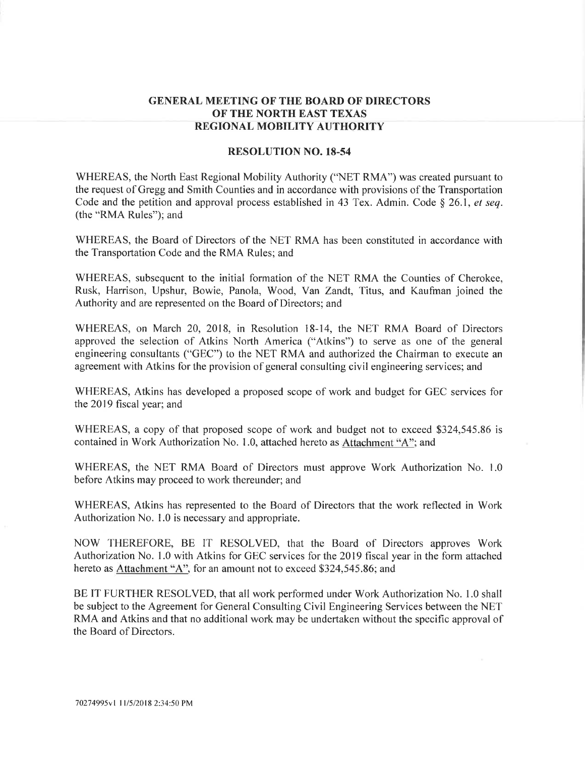## GENERAL MEETING OF THE BOARD OF DIRECTORS OF THE NORTH EAST TEXAS REGIONAL MOBILITV AUTHORITY

## RESOLUTION NO. 18-54

WHEREAS, the North East Regional Mobility Authority ('NET RMA") was created pursuant to the request of Gregg and Smith Counties and in accordance with provisions of the Transportation Code and the petition and approval process established in 43 Tex. Admin. Code  $\S$  26.1, et seq. (the "RMA Rules"); and

WHEREAS, the Board of Directors of the NET RMA has been constituted in accordance with the Transportation Code and the RMA Rules; and

WHEREAS, subsequent to the initial formation of the NET RMA the Counties of Cherokee, Rusk, Harrison, Upshur, Bowie, Panola, Wood, Van Zandt, Titus, and Kaufman joined the Authority and are represented on the Board of Directors; and

WHEREAS, on March 20, 2018, in Resolution 18-14, the NET RMA Board of Directors approved the selection of Atkins North America ("Atkins") to serve as one of the general engineering consultants ("GEC") to the NET RMA and authorized the Chairman to execute an agreement with Atkins for the provision of general consulting civil engineering services; and

WHEREAS, Atkins has developed a proposed scope of work and budget for GEC services for the 2019 fiscal year; and

WHEREAS, a copy of that proposed scope of work and budget not to exceed \$324,545.86 is contained in Work Authorization No. 1.0, attached hereto as Attachment "4"; and

WHEREAS, the NET RMA Board of Directors must approve Work Authorization No. 1.0 before Atkins may proceed to work thereunder; and

WHEREAS, Atkins has represented to the Board of Directors that the work reflected in Work Authorization No. L0 is necessary and appropriate.

NOW THEREFORE, BE IT RESOLVED, that the Board of Directors approves Work Authorization No. I .0 with Atkins for GEC services for the 2019 fiscal year in the form attached hereto as Attachment "A", for an amount not to exceed \$324,545.86; and

BE IT FURTHER RESOLVED, that all work performed under Work Authorization No. 1.0 shall be subject to the Agreement for General Consulting Civil Engineering Services between the NET RMA and Atkins and that no additional work may be undertaken without the specific approval of the Board of Directors.